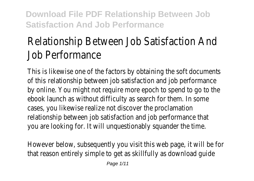# Relationship Between Job Satisfaction And Job Performance

This is likewise one of the factors by obtaining the soft docum of this elationship between job satisfaction and job performance by online. You might not require more epoch to spend to go to ebook launch as without difficulty as search for them. In some cases, you likewise realize not discover the proclamation relationship between job satisfaction and job performance that you are looking for. It will unquestionably squander the time.

However below, subsequently you visit this web page, it will be that reason entirely simple to get as skillfully as download guident at that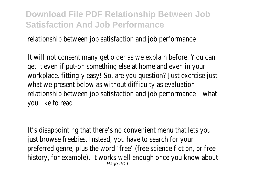relationship between job satisfaction and job performance

It will not consent many get older as we explain before. You can get it even if put-on something else at home and even in your workplace. fittingly easy! So, are you question? Just exercise iu what we present below as without difficulty as evaluation relationship between job satisfaction and job performance you like to read!

It's disappointing that there's no convenient menu that lets yo just browse freebies. Instead, you have to search for your preferred genre, plus the word 'free' (free science fiction, or free history, for example). It works well enough once you know about Page 2/11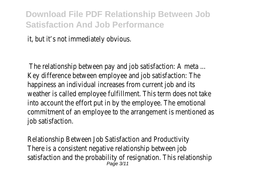it, but it's not immediately obvious.

The relationship between pay and job satisfaction: A meta ... Key difference between employee and job satisfaction: The happiness an individual increases from current job and its weather is called employee fulfillment. This term does not take into account the effort put in by the employee. The emotional commitment of an employee to the arrangement is mentioned job satisfaction.

Relationship Between Job Satisfaction and Productivity There is a consistent negative relationship between job satisfaction and the probability of resignation. This relationship Page 3/11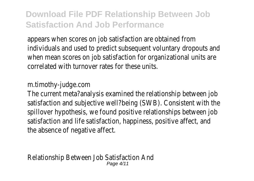appears when scores on job satisfaction are obtained from individuals and used to predict subsequent voluntary dropouts when mean scores on job satisfaction for organizational units correlated with turnover rates for these units.

#### m.timothy-judge.com

The current meta?analysis examined the relationship between i satisfaction and subjective well?being (SWB). Consistent with the spillover hypothesis, we found positive relationships between jo satisfaction and life satisfaction, happiness, positive affect, and the absence of negative affect.

Relationship Between Job Satisfaction And Page 4/11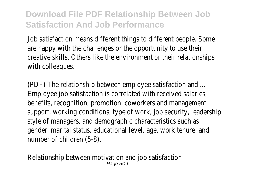Job satisfaction means different things to different people. Some are happy with the challenges or the opportunity to use their creative skills. Others like the environment or their relationship with colleagues.

(PDF) The relationship between employee satisfaction and ... Employee job satisfaction is correlated with received salaries, benefits, recognition, promotion, coworkers and management support, working conditions, type of work, job security, leaders style of managers, and demographic characteristics such as gender, marital status, educational level, age, work tenure, and number of children (5-8).

Relationship between motivation and job satisfaction Page 5/11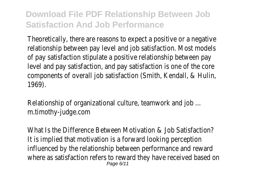Theoretically, there are reasons to expect a positive or a negative relationship between pay level and job satisfaction. Most mode of pay satisfaction stipulate a positive relationship between pay level and pay satisfaction, and pay satisfaction is one of the core components of overall job satisfaction (Smith, Kendall, & Hulin, 1969).

Relationship of organizational culture, teamwork and job ... m.timothy-judge.com

What Is the Difference Between Motivation & Job Satisfaction It is implied that motivation is a forward looking perception influenced by the relationship between performance and reward where as satisfaction refers to reward they have received based Page 6/11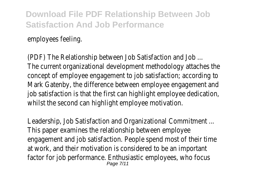employees feeling.

(PDF) The Relationship between Job Satisfaction and Job ... The current organizational development methodology attaches concept of employee engagement to job satisfaction; according Mark Gatenby, the difference between employee engagement and job satisfaction is that the first can highlight employee dedication whilst the second can highlight employee motivation.

Leadership, Job Satisfaction and Organizational Commitment ... This paper examines the relationship between employee engagement and job satisfaction. People spend most of their time at work, and their motivation is considered to be an important factor for job performance. Enthusiastic employees, who focus Page 7/11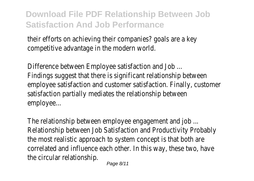their efforts on achieving their companies? goals are a key competitive advantage in the modern world.

Difference between Employee satisfaction and Job ... Findings suggest that there is significant relationship between employee satisfaction and customer satisfaction. Finally, custo satisfaction partially mediates the relationship between employee...

The relationship between employee engagement and job ... Relationship between Job Satisfaction and Productivity Probabl the most realistic approach to system concept is that both are correlated and influence each other. In this way, these two, ha the circular relationship.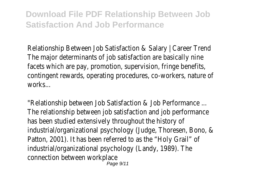Relationship Between Job Satisfaction & Salary | Career Trend The major determinants of job satisfaction are basically nine facets which are pay, promotion, supervision, fringe benefits, contingent rewards, operating procedures, co-workers, nature works

"Relationship between Job Satisfaction & Job Performance ... The relationship between job satisfaction and job performance has been studied extensively throughout the history of industrial/organizational psychology (Judge, Thoresen, Bono, & Patton, 2001). It has been referred to as the "Holy Grail" of industrial/organizational psychology (Landy, 1989). The connection between workplace Page 9/11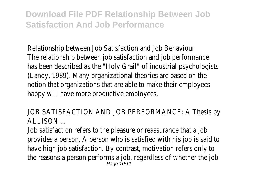Relationship between Job Satisfaction and Job Behaviour The relationship between job satisfaction and job performance has been described as the "Holy Grail" of industrial psychologistics (Landy, 1989). Many organizational theories are based on the notion that organizations that are able to make their employee happy will have more productive employees.

JOB SATISFACTION AND JOB PERFORMANCE: A Thesis by ALLISON ...

Job satisfaction refers to the pleasure or reassurance that a jo provides a person. A person who is satisfied with his job is said have high job satisfaction. By contrast, motivation refers only to the reasons a person performs a job, regardless of whether th<br> $_{Page 10/11}^{Page 10/11}$